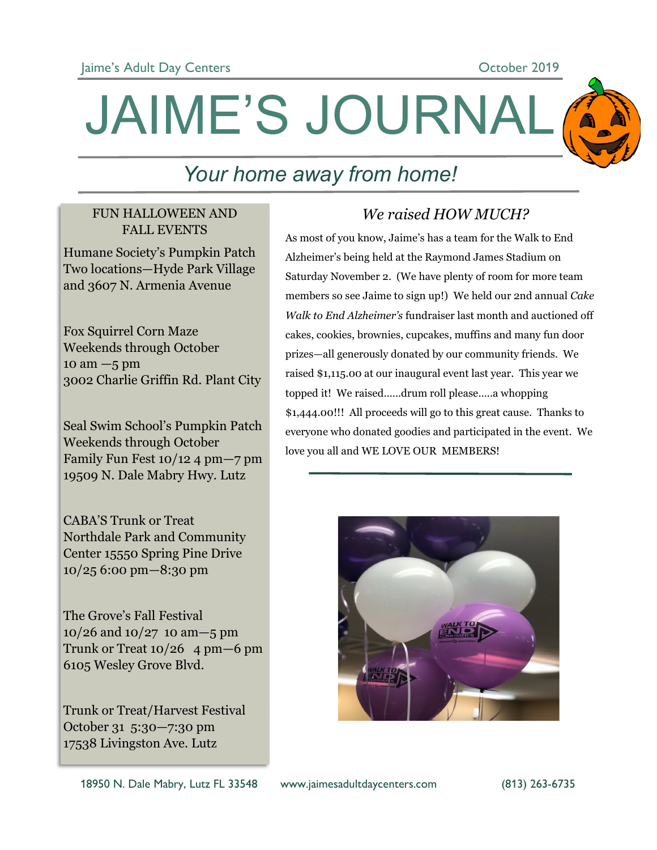

# JAIME'S JOURNAL

## *Your home away from home!*

#### FUN HALLOWEEN AND FALL EVENTS

Humane Society's Pumpkin Patch Two locations—Hyde Park Village and 3607 N. Armenia Avenue

Fox Squirrel Corn Maze Weekends through October  $10 \text{ am} - 5 \text{ pm}$ 3002 Charlie Griffin Rd. Plant City

Seal Swim School's Pumpkin Patch Weekends through October Family Fun Fest 10/12 4 pm—7 pm 19509 N. Dale Mabry Hwy. Lutz

CABA'S Trunk or Treat Northdale Park and Community Center 15550 Spring Pine Drive 10/25 6:00 pm—8:30 pm

The Grove's Fall Festival 10/26 and 10/27 10 am—5 pm Trunk or Treat  $10/26$  4 pm  $-6$  pm 6105 Wesley Grove Blvd.

Trunk or Treat/Harvest Festival October 31 5:30—7:30 pm 17538 Livingston Ave. Lutz

### *We raised HOW MUCH?*

As most of you know, Jaime's has a team for the Walk to End Alzheimer's being held at the Raymond James Stadium on Saturday November 2. (We have plenty of room for more team members so see Jaime to sign up!) We held our 2nd annual *Cake Walk to End Alzheimer's* fundraiser last month and auctioned off cakes, cookies, brownies, cupcakes, muffins and many fun door prizes—all generously donated by our community friends. We raised \$1,115.00 at our inaugural event last year. This year we topped it! We raised…...drum roll please…..a whopping \$1,444.00!!! All proceeds will go to this great cause. Thanks to everyone who donated goodies and participated in the event. We love you all and WE LOVE OUR MEMBERS!

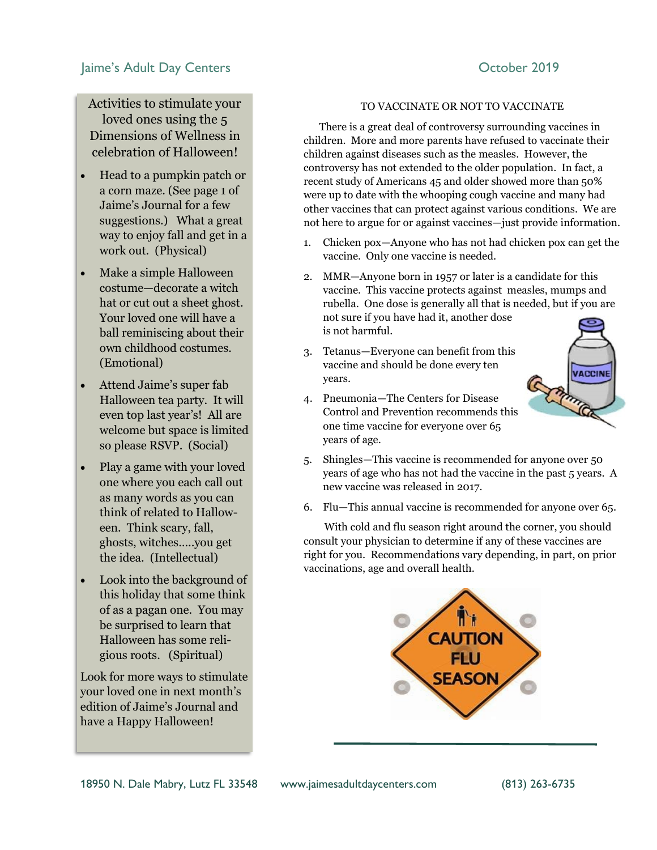#### Jaime's Adult Day Centers **Canadian Control Centers** October 2019

Activities to stimulate your loved ones using the 5 Dimensions of Wellness in celebration of Halloween!

- Head to a pumpkin patch or a corn maze. (See page 1 of Jaime's Journal for a few suggestions.) What a great way to enjoy fall and get in a work out. (Physical)
- Make a simple Halloween costume—decorate a witch hat or cut out a sheet ghost. Your loved one will have a ball reminiscing about their own childhood costumes. (Emotional)
- Attend Jaime's super fab Halloween tea party. It will even top last year's! All are welcome but space is limited so please RSVP. (Social)
- Play a game with your loved one where you each call out as many words as you can think of related to Halloween. Think scary, fall, ghosts, witches…..you get the idea. (Intellectual)
- Look into the background of this holiday that some think of as a pagan one. You may be surprised to learn that Halloween has some religious roots. (Spiritual)

Look for more ways to stimulate your loved one in next month's edition of Jaime's Journal and have a Happy Halloween!

#### TO VACCINATE OR NOT TO VACCINATE

 There is a great deal of controversy surrounding vaccines in children. More and more parents have refused to vaccinate their children against diseases such as the measles. However, the controversy has not extended to the older population. In fact, a recent study of Americans 45 and older showed more than 50% were up to date with the whooping cough vaccine and many had other vaccines that can protect against various conditions. We are not here to argue for or against vaccines—just provide information.

- 1. Chicken pox—Anyone who has not had chicken pox can get the vaccine. Only one vaccine is needed.
- 2. MMR—Anyone born in 1957 or later is a candidate for this vaccine. This vaccine protects against measles, mumps and rubella. One dose is generally all that is needed, but if you are not sure if you have had it, another dose is not harmful.
- 3. Tetanus—Everyone can benefit from this vaccine and should be done every ten years.
- 4. Pneumonia—The Centers for Disease Control and Prevention recommends this one time vaccine for everyone over 65 years of age.



- 5. Shingles—This vaccine is recommended for anyone over 50 years of age who has not had the vaccine in the past 5 years. A new vaccine was released in 2017.
- 6. Flu—This annual vaccine is recommended for anyone over 65.

 With cold and flu season right around the corner, you should consult your physician to determine if any of these vaccines are right for you. Recommendations vary depending, in part, on prior vaccinations, age and overall health.

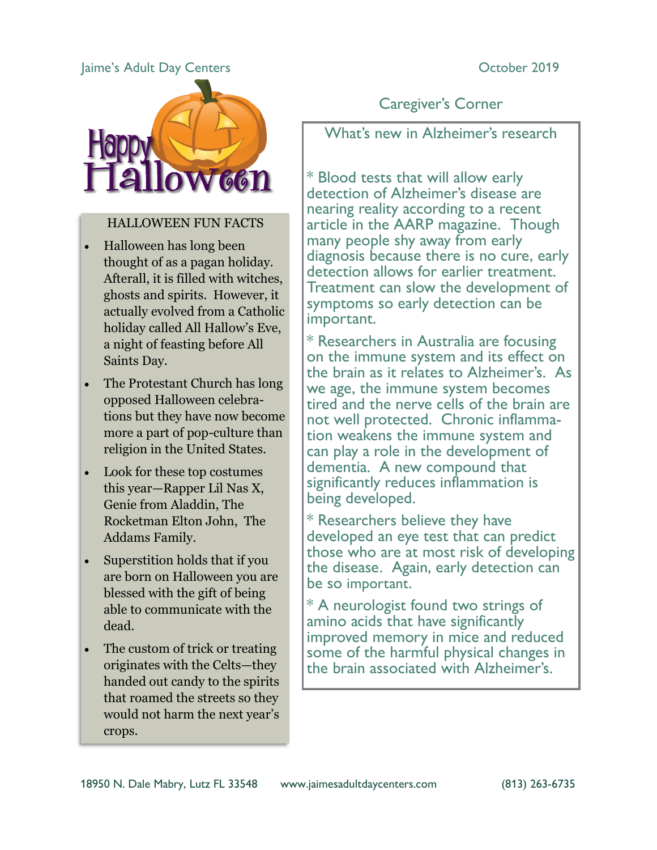#### Jaime's Adult Day Centers **Canadian Community** Corrected by Corporation Corporation Corporation Corporation Corporation Corporation Corporation Corporation Corporation Corporation Corporation Corporation Corporation Corpor



#### HALLOWEEN FUN FACTS

- Halloween has long been thought of as a pagan holiday. Afterall, it is filled with witches, ghosts and spirits. However, it actually evolved from a Catholic holiday called All Hallow's Eve, a night of feasting before All Saints Day.
- The Protestant Church has long opposed Halloween celebrations but they have now become more a part of pop-culture than religion in the United States.
- Look for these top costumes this year—Rapper Lil Nas X, Genie from Aladdin, The Rocketman Elton John, The Addams Family.
- Superstition holds that if you are born on Halloween you are blessed with the gift of being able to communicate with the dead.
- The custom of trick or treating originates with the Celts—they handed out candy to the spirits that roamed the streets so they would not harm the next year's crops.

Caregiver's Corner

What's new in Alzheimer's research

\* Blood tests that will allow early detection of Alzheimer's disease are nearing reality according to a recent article in the AARP magazine. Though many people shy away from early diagnosis because there is no cure, early detection allows for earlier treatment. Treatment can slow the development of symptoms so early detection can be important.

\* Researchers in Australia are focusing on the immune system and its effect on the brain as it relates to Alzheimer's. As we age, the immune system becomes tired and the nerve cells of the brain are not well protected. Chronic inflammation weakens the immune system and can play a role in the development of dementia. A new compound that significantly reduces inflammation is being developed.

\* Researchers believe they have developed an eye test that can predict those who are at most risk of developing the disease. Again, early detection can be so important.

\* A neurologist found two strings of amino acids that have significantly improved memory in mice and reduced some of the harmful physical changes in the brain associated with Alzheimer's.